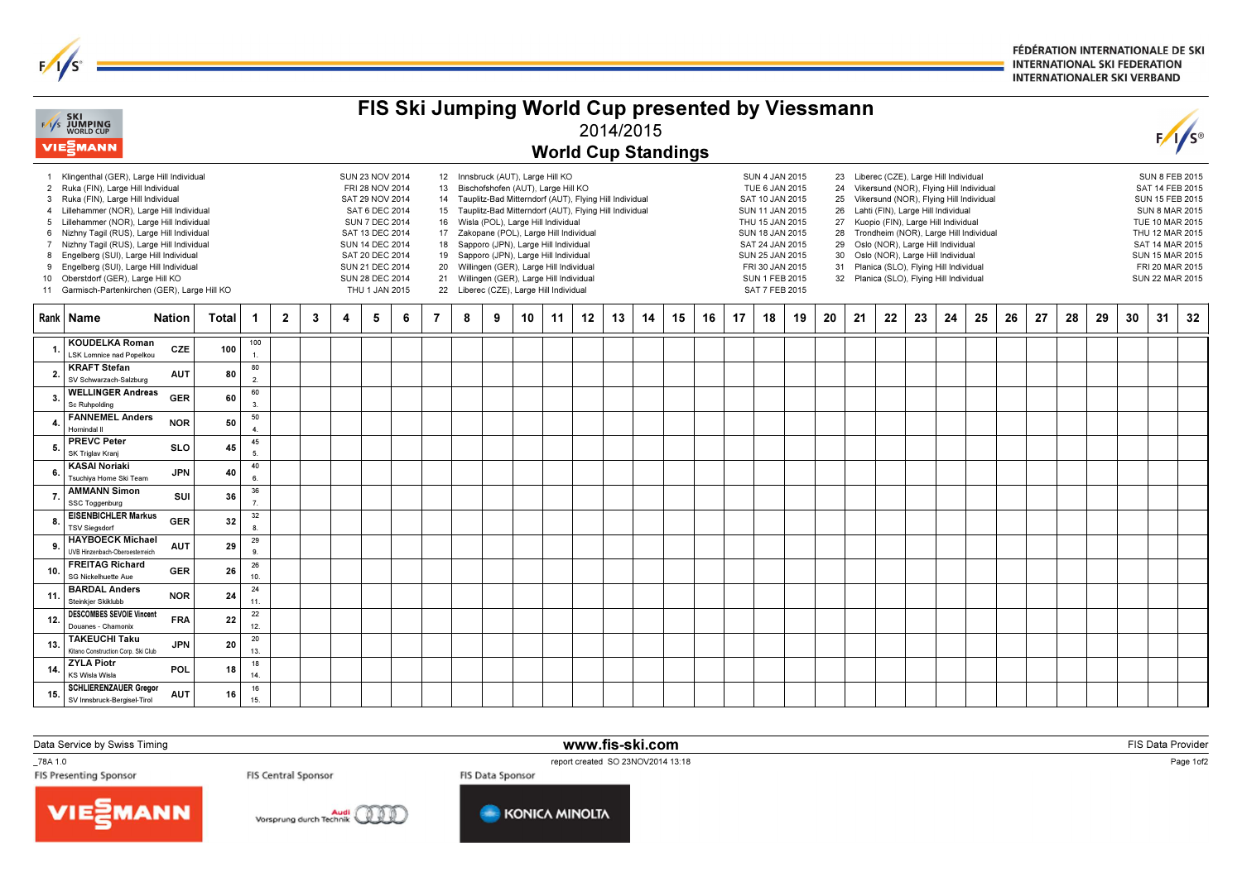FÉDÉRATION INTERNATIONALE DE SKI **INTERNATIONAL SKI FEDERATION INTERNATIONALER SKI VERBAND** 

| FIS Ski Jumping World Cup presented by Viessmann<br><b>EXT</b> SKI<br>WORLD CUP<br>2014/2015 |                                                                                                                                                                                                                                                                                                                                                                                                                                                                                              |                                                                                                                                                                                                                                                                                                                                                                                                                                                                                                                                                                                                                                                                                                                                                                                                                                                                                                                                                                                                                                                                                                                                                                                                                                                                                                                                                                                                                                                                 |                        |                |                            |   |   |   |                |   |   |    |    |    |    |    |                                                                                                                                                                                                               |    |    |    |    |    |    |                 |    |    |    |    |    |    |    |    |    |    |
|----------------------------------------------------------------------------------------------|----------------------------------------------------------------------------------------------------------------------------------------------------------------------------------------------------------------------------------------------------------------------------------------------------------------------------------------------------------------------------------------------------------------------------------------------------------------------------------------------|-----------------------------------------------------------------------------------------------------------------------------------------------------------------------------------------------------------------------------------------------------------------------------------------------------------------------------------------------------------------------------------------------------------------------------------------------------------------------------------------------------------------------------------------------------------------------------------------------------------------------------------------------------------------------------------------------------------------------------------------------------------------------------------------------------------------------------------------------------------------------------------------------------------------------------------------------------------------------------------------------------------------------------------------------------------------------------------------------------------------------------------------------------------------------------------------------------------------------------------------------------------------------------------------------------------------------------------------------------------------------------------------------------------------------------------------------------------------|------------------------|----------------|----------------------------|---|---|---|----------------|---|---|----|----|----|----|----|---------------------------------------------------------------------------------------------------------------------------------------------------------------------------------------------------------------|----|----|----|----|----|----|-----------------|----|----|----|----|----|----|----|----|----|----|
|                                                                                              | <b>VIEMANN</b>                                                                                                                                                                                                                                                                                                                                                                                                                                                                               |                                                                                                                                                                                                                                                                                                                                                                                                                                                                                                                                                                                                                                                                                                                                                                                                                                                                                                                                                                                                                                                                                                                                                                                                                                                                                                                                                                                                                                                                 |                        |                | <b>World Cup Standings</b> |   |   |   |                |   |   |    |    |    |    |    |                                                                                                                                                                                                               |    |    |    |    |    |    | $F/I/S^{\circ}$ |    |    |    |    |    |    |    |    |    |    |
| 7<br>8<br>9                                                                                  | 1 Klingenthal (GER), Large Hill Individual<br>2 Ruka (FIN), Large Hill Individual<br>3 Ruka (FIN), Large Hill Individual<br>4 Lillehammer (NOR), Large Hill Individual<br>5 Lillehammer (NOR), Large Hill Individual<br>6 Nizhny Tagil (RUS), Large Hill Individual<br>Nizhny Tagil (RUS), Large Hill Individual<br>Engelberg (SUI), Large Hill Individual<br>Engelberg (SUI), Large Hill Individual<br>10 Oberstdorf (GER), Large Hill KO<br>11 Garmisch-Partenkirchen (GER), Large Hill KO | 12 Innsbruck (AUT), Large Hill KO<br>23 Liberec (CZE), Large Hill Individual<br><b>SUN 23 NOV 2014</b><br><b>SUN 4 JAN 2015</b><br>FRI 28 NOV 2014<br>Bischofshofen (AUT), Large Hill KO<br>TUE 6 JAN 2015<br>Vikersund (NOR), Flying Hill Individual<br>13<br>24<br>SAT 29 NOV 2014<br>14 Tauplitz-Bad Mitterndorf (AUT), Flying Hill Individual<br>SAT 10 JAN 2015<br>Vikersund (NOR), Flying Hill Individual<br>25<br>SAT 6 DEC 2014<br>15 Tauplitz-Bad Mitterndorf (AUT), Flying Hill Individual<br>Lahti (FIN), Large Hill Individual<br>SUN 11 JAN 2015<br>26<br><b>SUN 7 DEC 2014</b><br>16 Wisla (POL), Large Hill Individual<br>Kuopio (FIN), Large Hill Individual<br>THU 15 JAN 2015<br>27<br>SAT 13 DEC 2014<br>17 Zakopane (POL), Large Hill Individual<br>SUN 18 JAN 2015<br>Trondheim (NOR), Large Hill Individual<br>28<br><b>SUN 14 DEC 2014</b><br>18 Sapporo (JPN), Large Hill Individual<br>SAT 24 JAN 2015<br>Oslo (NOR), Large Hill Individual<br>29<br>SAT 20 DEC 2014<br>19 Sapporo (JPN), Large Hill Individual<br>SUN 25 JAN 2015<br>Oslo (NOR), Large Hill Individual<br>30<br>SUN 21 DEC 2014<br>Willingen (GER), Large Hill Individual<br>Planica (SLO), Flying Hill Individual<br>20<br>FRI 30 JAN 2015<br>31<br>21 Willingen (GER), Large Hill Individual<br>SUN 28 DEC 2014<br><b>SUN 1 FEB 2015</b><br>32 Planica (SLO), Flying Hill Individual<br>22 Liberec (CZE), Large Hill Individual<br>SAT 7 FEB 2015<br>THU 1 JAN 2015 |                        |                |                            |   |   |   |                |   |   |    |    |    |    |    | <b>SUN 8 FEB 2015</b><br>SAT 14 FEB 2015<br><b>SUN 15 FEB 2015</b><br><b>SUN 8 MAR 2015</b><br>TUE 10 MAR 2015<br>THU 12 MAR 2015<br>SAT 14 MAR 2015<br>SUN 15 MAR 2015<br>FRI 20 MAR 2015<br>SUN 22 MAR 2015 |    |    |    |    |    |    |                 |    |    |    |    |    |    |    |    |    |    |
|                                                                                              | Rank   Name<br><b>Nation</b>                                                                                                                                                                                                                                                                                                                                                                                                                                                                 | <b>Total</b>                                                                                                                                                                                                                                                                                                                                                                                                                                                                                                                                                                                                                                                                                                                                                                                                                                                                                                                                                                                                                                                                                                                                                                                                                                                                                                                                                                                                                                                    | $\mathbf 1$            | $\overline{2}$ | 3                          | 4 | 5 | 6 | $\overline{7}$ | 8 | 9 | 10 | 11 | 12 | 13 | 14 | 15                                                                                                                                                                                                            | 16 | 17 | 18 | 19 | 20 | 21 | 22              | 23 | 24 | 25 | 26 | 27 | 28 | 29 | 30 | 31 | 32 |
|                                                                                              | <b>KOUDELKA Roman</b><br><b>CZE</b><br><b>LSK Lomnice nad Popelkou</b>                                                                                                                                                                                                                                                                                                                                                                                                                       | 100                                                                                                                                                                                                                                                                                                                                                                                                                                                                                                                                                                                                                                                                                                                                                                                                                                                                                                                                                                                                                                                                                                                                                                                                                                                                                                                                                                                                                                                             | 100<br>$\mathbf{1}$    |                |                            |   |   |   |                |   |   |    |    |    |    |    |                                                                                                                                                                                                               |    |    |    |    |    |    |                 |    |    |    |    |    |    |    |    |    |    |
|                                                                                              | <b>KRAFT Stefan</b><br><b>AUT</b><br>SV Schwarzach-Salzburg                                                                                                                                                                                                                                                                                                                                                                                                                                  | 80                                                                                                                                                                                                                                                                                                                                                                                                                                                                                                                                                                                                                                                                                                                                                                                                                                                                                                                                                                                                                                                                                                                                                                                                                                                                                                                                                                                                                                                              | 80<br>2.               |                |                            |   |   |   |                |   |   |    |    |    |    |    |                                                                                                                                                                                                               |    |    |    |    |    |    |                 |    |    |    |    |    |    |    |    |    |    |
|                                                                                              | <b>WELLINGER Andreas</b><br><b>GER</b><br>Sc Ruhpolding                                                                                                                                                                                                                                                                                                                                                                                                                                      | 60                                                                                                                                                                                                                                                                                                                                                                                                                                                                                                                                                                                                                                                                                                                                                                                                                                                                                                                                                                                                                                                                                                                                                                                                                                                                                                                                                                                                                                                              | 60<br>3 <sub>1</sub>   |                |                            |   |   |   |                |   |   |    |    |    |    |    |                                                                                                                                                                                                               |    |    |    |    |    |    |                 |    |    |    |    |    |    |    |    |    |    |
|                                                                                              | <b>FANNEMEL Anders</b><br><b>NOR</b><br>Hornindal II                                                                                                                                                                                                                                                                                                                                                                                                                                         | 50                                                                                                                                                                                                                                                                                                                                                                                                                                                                                                                                                                                                                                                                                                                                                                                                                                                                                                                                                                                                                                                                                                                                                                                                                                                                                                                                                                                                                                                              | 50<br>$\overline{4}$ . |                |                            |   |   |   |                |   |   |    |    |    |    |    |                                                                                                                                                                                                               |    |    |    |    |    |    |                 |    |    |    |    |    |    |    |    |    |    |
|                                                                                              | <b>PREVC Peter</b><br><b>SLO</b><br>SK Triglav Kranj                                                                                                                                                                                                                                                                                                                                                                                                                                         | 45                                                                                                                                                                                                                                                                                                                                                                                                                                                                                                                                                                                                                                                                                                                                                                                                                                                                                                                                                                                                                                                                                                                                                                                                                                                                                                                                                                                                                                                              | 45<br>5.               |                |                            |   |   |   |                |   |   |    |    |    |    |    |                                                                                                                                                                                                               |    |    |    |    |    |    |                 |    |    |    |    |    |    |    |    |    |    |
|                                                                                              | <b>KASAI Noriaki</b><br><b>JPN</b><br>Tsuchiva Home Ski Team                                                                                                                                                                                                                                                                                                                                                                                                                                 | 40                                                                                                                                                                                                                                                                                                                                                                                                                                                                                                                                                                                                                                                                                                                                                                                                                                                                                                                                                                                                                                                                                                                                                                                                                                                                                                                                                                                                                                                              | 40<br>6.               |                |                            |   |   |   |                |   |   |    |    |    |    |    |                                                                                                                                                                                                               |    |    |    |    |    |    |                 |    |    |    |    |    |    |    |    |    |    |
|                                                                                              | <b>AMMANN Simon</b><br>SUI<br>SSC Toggenburg                                                                                                                                                                                                                                                                                                                                                                                                                                                 | 36                                                                                                                                                                                                                                                                                                                                                                                                                                                                                                                                                                                                                                                                                                                                                                                                                                                                                                                                                                                                                                                                                                                                                                                                                                                                                                                                                                                                                                                              | 36<br>$\overline{7}$ . |                |                            |   |   |   |                |   |   |    |    |    |    |    |                                                                                                                                                                                                               |    |    |    |    |    |    |                 |    |    |    |    |    |    |    |    |    |    |
|                                                                                              | <b>EISENBICHLER Markus</b><br><b>GER</b><br><b>TSV Siegsdorf</b>                                                                                                                                                                                                                                                                                                                                                                                                                             | 32                                                                                                                                                                                                                                                                                                                                                                                                                                                                                                                                                                                                                                                                                                                                                                                                                                                                                                                                                                                                                                                                                                                                                                                                                                                                                                                                                                                                                                                              | 32<br>$\mathbf{a}$     |                |                            |   |   |   |                |   |   |    |    |    |    |    |                                                                                                                                                                                                               |    |    |    |    |    |    |                 |    |    |    |    |    |    |    |    |    |    |
|                                                                                              | <b>HAYBOECK Michael</b><br><b>AUT</b><br>UVB Hinzenbach-Oberoesterreich                                                                                                                                                                                                                                                                                                                                                                                                                      | 29                                                                                                                                                                                                                                                                                                                                                                                                                                                                                                                                                                                                                                                                                                                                                                                                                                                                                                                                                                                                                                                                                                                                                                                                                                                                                                                                                                                                                                                              | 29<br>9.               |                |                            |   |   |   |                |   |   |    |    |    |    |    |                                                                                                                                                                                                               |    |    |    |    |    |    |                 |    |    |    |    |    |    |    |    |    |    |
| 10                                                                                           | <b>FREITAG Richard</b><br><b>GER</b><br>SG Nickelhuette Aue                                                                                                                                                                                                                                                                                                                                                                                                                                  | 26                                                                                                                                                                                                                                                                                                                                                                                                                                                                                                                                                                                                                                                                                                                                                                                                                                                                                                                                                                                                                                                                                                                                                                                                                                                                                                                                                                                                                                                              | 26<br>10 <sub>1</sub>  |                |                            |   |   |   |                |   |   |    |    |    |    |    |                                                                                                                                                                                                               |    |    |    |    |    |    |                 |    |    |    |    |    |    |    |    |    |    |
| -11                                                                                          | <b>BARDAL Anders</b><br><b>NOR</b><br>Steinkjer Skiklubb                                                                                                                                                                                                                                                                                                                                                                                                                                     | 24                                                                                                                                                                                                                                                                                                                                                                                                                                                                                                                                                                                                                                                                                                                                                                                                                                                                                                                                                                                                                                                                                                                                                                                                                                                                                                                                                                                                                                                              | 24<br>11.              |                |                            |   |   |   |                |   |   |    |    |    |    |    |                                                                                                                                                                                                               |    |    |    |    |    |    |                 |    |    |    |    |    |    |    |    |    |    |
| 12.                                                                                          | <b>DESCOMBES SEVOIE Vincent</b><br><b>FRA</b><br>Douanes - Chamonix                                                                                                                                                                                                                                                                                                                                                                                                                          | 22                                                                                                                                                                                                                                                                                                                                                                                                                                                                                                                                                                                                                                                                                                                                                                                                                                                                                                                                                                                                                                                                                                                                                                                                                                                                                                                                                                                                                                                              | 22<br>12.              |                |                            |   |   |   |                |   |   |    |    |    |    |    |                                                                                                                                                                                                               |    |    |    |    |    |    |                 |    |    |    |    |    |    |    |    |    |    |
| 13                                                                                           | <b>TAKEUCHI Taku</b><br><b>JPN</b><br>Kitano Construction Corp. Ski Club                                                                                                                                                                                                                                                                                                                                                                                                                     | 20                                                                                                                                                                                                                                                                                                                                                                                                                                                                                                                                                                                                                                                                                                                                                                                                                                                                                                                                                                                                                                                                                                                                                                                                                                                                                                                                                                                                                                                              | 20<br>13.              |                |                            |   |   |   |                |   |   |    |    |    |    |    |                                                                                                                                                                                                               |    |    |    |    |    |    |                 |    |    |    |    |    |    |    |    |    |    |
| 14.                                                                                          | <b>ZYLA Piotr</b><br>POL<br><b>KS Wisla Wisla</b>                                                                                                                                                                                                                                                                                                                                                                                                                                            | 18                                                                                                                                                                                                                                                                                                                                                                                                                                                                                                                                                                                                                                                                                                                                                                                                                                                                                                                                                                                                                                                                                                                                                                                                                                                                                                                                                                                                                                                              | 18<br>14               |                |                            |   |   |   |                |   |   |    |    |    |    |    |                                                                                                                                                                                                               |    |    |    |    |    |    |                 |    |    |    |    |    |    |    |    |    |    |
| 15.                                                                                          | <b>SCHLIERENZAUER Gregor</b><br><b>AUT</b><br>SV Innsbruck-Bergisel-Tirol                                                                                                                                                                                                                                                                                                                                                                                                                    | 16                                                                                                                                                                                                                                                                                                                                                                                                                                                                                                                                                                                                                                                                                                                                                                                                                                                                                                                                                                                                                                                                                                                                                                                                                                                                                                                                                                                                                                                              | 16<br>15.              |                |                            |   |   |   |                |   |   |    |    |    |    |    |                                                                                                                                                                                                               |    |    |    |    |    |    |                 |    |    |    |    |    |    |    |    |    |    |

Data Service by Swiss Timing

 $\frac{1}{s}$ 

www.fis-ski.com

**m** FIS Data Provider<br>1984 - Personal Provider Provider Provider Provider Provider Provider Provider Provider<br>1986 - Personal Provider Provider Provider Provider Provider Provider Provider Provider Provider Provider Pro

\_78A 1.0<br>FIS Presenting Sponsor







report created SO 23NOV2014 13:18<br>FIS Data Sponsor FIS Data Sponsor

Page 1of2